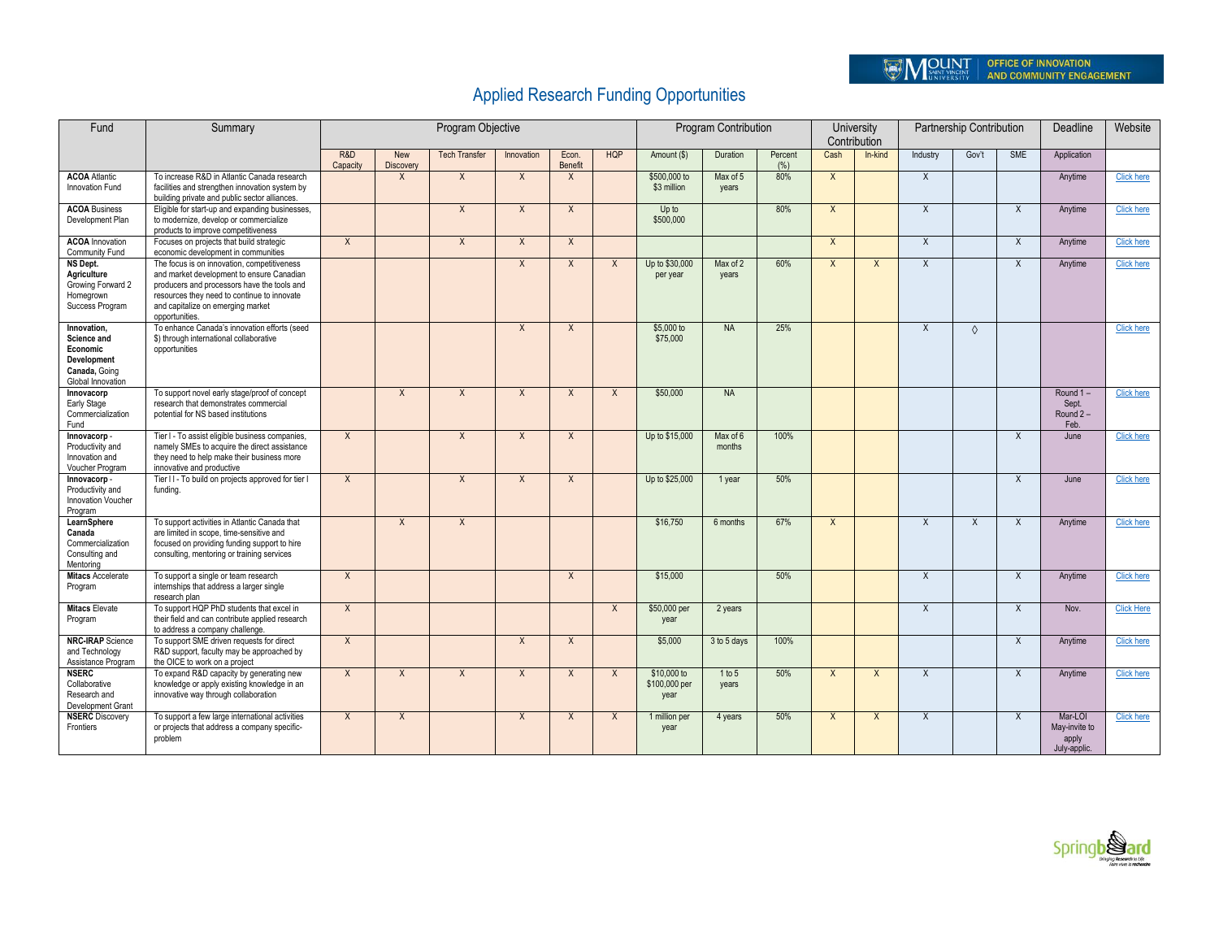## Applied Research Funding Opportunities

| Fund                                                                                        | Summary                                                                                                                                                                                                                                       |                 |                  | Program Objective    |              |                  |              | Program Contribution                 | University<br>Contribution |                 | Partnership Contribution |                         |                | Deadline   | Website      |                                                   |                   |
|---------------------------------------------------------------------------------------------|-----------------------------------------------------------------------------------------------------------------------------------------------------------------------------------------------------------------------------------------------|-----------------|------------------|----------------------|--------------|------------------|--------------|--------------------------------------|----------------------------|-----------------|--------------------------|-------------------------|----------------|------------|--------------|---------------------------------------------------|-------------------|
|                                                                                             |                                                                                                                                                                                                                                               | R&D<br>Capacity | New<br>Discovery | <b>Tech Transfer</b> | Innovation   | Econ.<br>Benefit | <b>HQP</b>   | Amount (\$)                          | Duration                   | Percent<br>(% ) | Cash                     | In-kind                 | Industry       | Gov't      | <b>SME</b>   | Application                                       |                   |
| <b>ACOA</b> Atlantic<br>Innovation Fund                                                     | To increase R&D in Atlantic Canada research<br>facilities and strengthen innovation system by<br>building private and public sector alliances.                                                                                                |                 | X                | $\sf X$              | $\sf X$      | $\times$         |              | \$500,000 to<br>\$3 million          | Max of 5<br>years          | 80%             | $\mathsf{X}$             |                         | $\times$       |            |              | Anytime                                           | <b>Click here</b> |
| <b>ACOA Business</b><br>Development Plan                                                    | Eligible for start-up and expanding businesses,<br>to modernize, develop or commercialize<br>products to improve competitiveness                                                                                                              |                 |                  | $\overline{X}$       | $\mathsf{X}$ | $\mathsf{X}$     |              | Up to<br>\$500,000                   |                            | 80%             | $\overline{X}$           |                         | $\overline{X}$ |            | $\mathsf{X}$ | Anytime                                           | <b>Click here</b> |
| <b>ACOA</b> Innovation<br>Community Fund                                                    | Focuses on projects that build strategic<br>economic development in communities                                                                                                                                                               | $\mathsf{X}$    |                  | $\mathsf{X}$         | $\mathsf{X}$ | $\mathsf{X}$     |              |                                      |                            |                 | $\mathsf{X}$             |                         | $\mathsf{X}$   |            | $\mathsf{X}$ | Anytime                                           | <b>Click here</b> |
| NS Dept.<br>Agriculture<br>Growing Forward 2<br>Homegrown<br>Success Program                | The focus is on innovation, competitiveness<br>and market development to ensure Canadian<br>producers and processors have the tools and<br>resources they need to continue to innovate<br>and capitalize on emerging market<br>opportunities. |                 |                  |                      | $\sf X$      | $\mathsf{X}$     | $\sf X$      | Up to \$30,000<br>per year           | Max of 2<br>vears          | 60%             | $\mathsf{X}$             | $\overline{\mathsf{x}}$ | $\sf X$        |            | $\mathsf{x}$ | Anytime                                           | <b>Click here</b> |
| Innovation.<br>Science and<br>Economic<br>Development<br>Canada, Going<br>Global Innovation | To enhance Canada's innovation efforts (seed<br>\$) through international collaborative<br>opportunities                                                                                                                                      |                 |                  |                      | $\sf X$      | $\overline{X}$   |              | \$5,000 to<br>\$75,000               | <b>NA</b>                  | 25%             |                          |                         | $\overline{X}$ | $\Diamond$ |              |                                                   | <b>Click here</b> |
| Innovacorp<br>Early Stage<br>Commercialization<br>Fund                                      | To support novel early stage/proof of concept<br>research that demonstrates commercial<br>potential for NS based institutions                                                                                                                 |                 | $\sf X$          | $\sf X$              | $\sf X$      | $\sf X$          | $\mathsf{x}$ | \$50,000                             | <b>NA</b>                  |                 |                          |                         |                |            |              | Round 1-<br>Sept.<br>Round 2-<br>Feb.             | <b>Click here</b> |
| Innovacorp -<br>Productivity and<br>Innovation and<br>Voucher Program                       | Tier I - To assist eligible business companies,<br>namely SMEs to acquire the direct assistance<br>they need to help make their business more<br>innovative and productive                                                                    | $\overline{X}$  |                  | $\overline{X}$       | $\sf X$      | $\sf X$          |              | Up to \$15,000                       | Max of 6<br>months         | 100%            |                          |                         |                |            | $\mathsf{x}$ | June                                              | <b>Click here</b> |
| Innovacorp -<br>Productivity and<br>Innovation Voucher<br>Program                           | Tier II - To build on projects approved for tier I<br>fundina.                                                                                                                                                                                | $\overline{X}$  |                  | $\overline{X}$       | $\mathsf{x}$ | $\sf X$          |              | Up to \$25,000                       | 1 year                     | 50%             |                          |                         |                |            | X            | June                                              | <b>Click here</b> |
| LearnSphere<br>Canada<br>Commercialization<br>Consulting and<br>Mentorina                   | To support activities in Atlantic Canada that<br>are limited in scope, time-sensitive and<br>focused on providing funding support to hire<br>consulting, mentoring or training services                                                       |                 | $\sf X$          | $\mathsf{X}$         |              |                  |              | \$16,750                             | 6 months                   | 67%             | $\mathsf{X}$             |                         | $\mathsf{X}$   | $\sf X$    | $\mathsf{X}$ | Anytime                                           | <b>Click here</b> |
| <b>Mitacs Accelerate</b><br>Program                                                         | To support a single or team research<br>internships that address a larger single<br>research plan                                                                                                                                             | $\mathsf{X}$    |                  |                      |              | $\sf X$          |              | \$15,000                             |                            | 50%             |                          |                         | $\sf X$        |            | $\mathsf{X}$ | Anytime                                           | <b>Click here</b> |
| <b>Mitacs Elevate</b><br>Program                                                            | To support HQP PhD students that excel in<br>their field and can contribute applied research<br>to address a company challenge.                                                                                                               | $\chi$          |                  |                      |              |                  | $\times$     | \$50,000 per<br>year                 | 2 years                    |                 |                          |                         | $\sf X$        |            | X            | Nov.                                              | <b>Click Here</b> |
| <b>NRC-IRAP</b> Science<br>and Technology<br>Assistance Program                             | To support SME driven requests for direct<br>R&D support, faculty may be approached by<br>the OICE to work on a project                                                                                                                       | $\mathsf{X}$    |                  |                      | X            | $\times$         |              | \$5,000                              | 3 to 5 days                | 100%            |                          |                         |                |            | X            | Anytime                                           | <b>Click here</b> |
| <b>NSERC</b><br>Collaborative<br>Research and<br>Development Grant                          | To expand R&D capacity by generating new<br>knowledge or apply existing knowledge in an<br>innovative way through collaboration                                                                                                               | $\chi$          | X                | X                    | X            | $\sf X$          | $\times$     | \$10,000 to<br>\$100,000 per<br>year | 1 to 5<br>vears            | 50%             | X                        | X                       | $\mathsf{X}$   |            | X            | Anytime                                           | <b>Click here</b> |
| <b>NSERC</b> Discovery<br>Frontiers                                                         | To support a few large international activities<br>or projects that address a company specific-<br>problem                                                                                                                                    | $\mathsf{X}$    | $\sf X$          |                      | $\sf X$      | $\times$         | $\mathsf{X}$ | 1 million per<br>year                | 4 years                    | 50%             | $\mathsf{X}$             | $\mathsf{x}$            | $\mathsf{x}$   |            | $\mathsf{X}$ | Mar-LOI<br>May-invite to<br>apply<br>July-applic. | <b>Click here</b> |

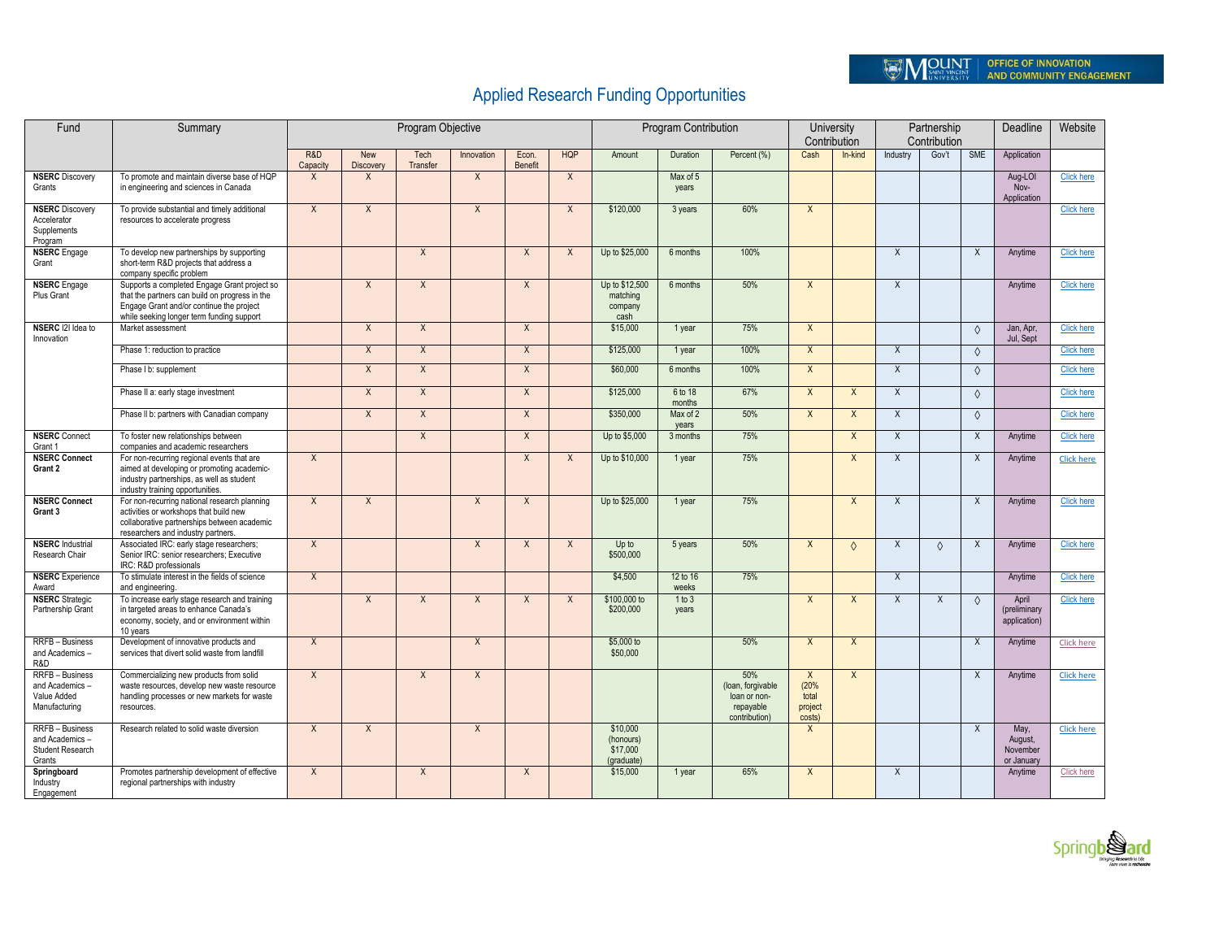## Applied Research Funding Opportunities

| Fund                                                                      | Summary                                                                                                                                                                                 |                 |                                | Program Objective |                |                  |              | Program Contribution                            | University<br>Contribution |                                                                        | Partnership<br>Contribution                        |                |                           | Deadline   | Website        |                                           |                   |
|---------------------------------------------------------------------------|-----------------------------------------------------------------------------------------------------------------------------------------------------------------------------------------|-----------------|--------------------------------|-------------------|----------------|------------------|--------------|-------------------------------------------------|----------------------------|------------------------------------------------------------------------|----------------------------------------------------|----------------|---------------------------|------------|----------------|-------------------------------------------|-------------------|
|                                                                           |                                                                                                                                                                                         | R&D<br>Capacity | <b>New</b><br><b>Discovery</b> | Tech<br>Transfer  | Innovation     | Econ.<br>Benefit | <b>HQP</b>   | Amount                                          | Duration                   | Percent (%)                                                            | Cash                                               | In-kind        | Industry                  | Gov't      | <b>SME</b>     | Application                               |                   |
| <b>NSERC</b> Discovery<br>Grants                                          | To promote and maintain diverse base of HQP<br>in engineering and sciences in Canada                                                                                                    | X               | $\sf X$                        |                   | $\mathsf{X}$   |                  | X            |                                                 | Max of 5<br>years          |                                                                        |                                                    |                |                           |            |                | Aug-LOI<br>$Nov-$<br>Application          | <b>Click here</b> |
| <b>NSERC</b> Discovery<br>Accelerator<br>Supplements<br>Program           | To provide substantial and timely additional<br>resources to accelerate progress                                                                                                        | $\sf X$         | X                              |                   | $\mathsf{X}$   |                  | $\chi$       | \$120,000                                       | 3 years                    | 60%                                                                    | $\overline{X}$                                     |                |                           |            |                |                                           | <b>Click here</b> |
| <b>NSERC</b> Engage<br>Grant                                              | To develop new partnerships by supporting<br>short-term R&D projects that address a<br>company specific problem                                                                         |                 |                                | $\overline{X}$    |                | $\overline{X}$   | $\sf X$      | Up to \$25,000                                  | 6 months                   | 100%                                                                   |                                                    |                | $\overline{X}$            |            | $\overline{X}$ | Anvtime                                   | <b>Click here</b> |
| <b>NSERC</b> Engage<br>Plus Grant                                         | Supports a completed Engage Grant project so<br>that the partners can build on progress in the<br>Engage Grant and/or continue the project<br>while seeking longer term funding support |                 | $\sf X$                        | $\mathsf{X}$      |                | $\times$         |              | Up to \$12,500<br>matching<br>company<br>cash   | 6 months                   | 50%                                                                    | $\mathsf{X}$                                       |                | $\times$                  |            |                | Anytime                                   | <b>Click here</b> |
| NSERC 121 Idea to<br>Innovation                                           | Market assessment                                                                                                                                                                       |                 | $\sf X$                        | $\times$          |                | X                |              | \$15,000                                        | 1 year                     | 75%                                                                    | $\mathsf{X}$                                       |                |                           |            | $\Diamond$     | Jan, Apr.<br>Jul, Sept                    | <b>Click here</b> |
|                                                                           | Phase 1: reduction to practice                                                                                                                                                          |                 | $\overline{X}$                 | $\overline{X}$    |                | $\overline{X}$   |              | \$125,000                                       | 1 year                     | 100%<br>100%                                                           | $\overline{X}$                                     |                | $\overline{X}$            |            | $\Diamond$     |                                           | <b>Click here</b> |
|                                                                           | Phase I b: supplement                                                                                                                                                                   |                 | $\mathsf X$                    | $\mathsf{X}$      |                | $\mathsf{X}$     |              | \$60,000                                        | 6 months                   |                                                                        | $\mathsf{X}$                                       |                | $\chi$                    |            | $\Diamond$     |                                           | <b>Click here</b> |
|                                                                           | Phase II a: early stage investment                                                                                                                                                      |                 | $\sf X$                        | $\mathsf{X}$      |                | X                |              | \$125,000                                       | 6 to 18<br>months          | 67%                                                                    | $\mathsf{X}$                                       | $\mathsf{X}$   | X                         |            | $\Diamond$     |                                           | <b>Click here</b> |
|                                                                           | Phase II b: partners with Canadian company                                                                                                                                              |                 | $\sf X$                        | $\times$          |                | X                |              | \$350,000                                       | Max of 2<br>vears          | 50%                                                                    | $\overline{X}$                                     | $\mathsf{X}$   | $\boldsymbol{\mathsf{X}}$ |            | $\Diamond$     |                                           | <b>Click here</b> |
| <b>NSERC</b> Connect<br>Grant 1                                           | To foster new relationships between<br>companies and academic researchers                                                                                                               |                 |                                | $\overline{X}$    |                | $\overline{X}$   |              | Up to \$5,000                                   | 3 months                   | 75%                                                                    |                                                    | $\overline{X}$ | $\overline{X}$            |            | $\overline{X}$ | Anytime                                   | <b>Click here</b> |
| <b>NSERC Connect</b><br>Grant 2                                           | For non-recurring regional events that are<br>aimed at developing or promoting academic-<br>industry partnerships, as well as student<br>industry training opportunities.               | $\mathsf{X}$    |                                |                   |                | $\times$         | $\times$     | Up to \$10,000                                  | 1 year                     | 75%                                                                    |                                                    | X              | X                         |            | X              | Anytime                                   | <b>Click here</b> |
| <b>NSERC Connect</b><br>Grant 3                                           | For non-recurring national research planning<br>activities or workshops that build new<br>collaborative partnerships between academic<br>researchers and industry partners.             | $\mathsf{X}$    | $\sf X$                        |                   | $\overline{X}$ | $\sf X$          |              | Up to \$25,000                                  | 1 year                     | 75%                                                                    |                                                    | $\mathsf{X}$   | $\overline{X}$            |            | X              | Anytime                                   | <b>Click here</b> |
| <b>NSERC</b> Industrial<br>Research Chair                                 | Associated IRC: early stage researchers;<br>Senior IRC: senior researchers; Executive<br>IRC: R&D professionals                                                                         | $\sf X$         |                                |                   | $\sf X$        | $\sf X$          | $\mathsf{X}$ | Up to<br>\$500,000                              | 5 years                    | 50%                                                                    | $\mathsf{X}$                                       | $\Diamond$     | X                         | $\Diamond$ | X              | Anytime                                   | <b>Click here</b> |
| <b>NSERC</b> Experience<br>Award                                          | To stimulate interest in the fields of science<br>and engineering.                                                                                                                      | $\overline{X}$  |                                |                   |                |                  |              | \$4,500                                         | 12 to 16<br>weeks          | 75%                                                                    |                                                    |                | $\overline{X}$            |            |                | Anytime                                   | <b>Click here</b> |
| <b>NSERC</b> Strategic<br>Partnership Grant                               | To increase early stage research and training<br>in targeted areas to enhance Canada's<br>economy, society, and or environment within<br>10 years                                       |                 | $\sf X$                        | $\mathsf{x}$      | $\times$       | $\mathsf{x}$     | $\mathsf{X}$ | \$100,000 to<br>\$200,000                       | 1 to 3<br>years            |                                                                        | $\overline{X}$                                     | $\sf X$        | X                         | $\sf X$    | $\Diamond$     | April<br>(preliminary<br>application)     | <b>Click here</b> |
| <b>RRFB</b> - Business<br>and Academics-<br>R&D                           | Development of innovative products and<br>services that divert solid waste from landfill                                                                                                | X               |                                |                   | $\sf X$        |                  |              | \$5,000 to<br>\$50,000                          |                            | 50%                                                                    | $\overline{X}$                                     | $\mathsf{X}$   |                           |            | X              | Anytime                                   | <b>Click here</b> |
| <b>RRFB</b> - Business<br>and Academics -<br>Value Added<br>Manufacturing | Commercializing new products from solid<br>waste resources, develop new waste resource<br>handling processes or new markets for waste<br>resources.                                     | $\overline{X}$  |                                | $\overline{X}$    | $\mathsf{X}$   |                  |              |                                                 |                            | 50%<br>(loan, forgivable<br>loan or non-<br>repayable<br>contribution) | $\mathsf{X}$<br>(20%<br>total<br>project<br>costs) | $\overline{X}$ |                           |            | $\mathsf{x}$   | Anytime                                   | <b>Click here</b> |
| <b>RRFB</b> - Business<br>and Academics-<br>Student Research<br>Grants    | Research related to solid waste diversion                                                                                                                                               | $\mathsf{x}$    | $\sf X$                        |                   | $\sf X$        |                  |              | \$10,000<br>(honours)<br>\$17,000<br>(graduate) |                            |                                                                        | $\mathsf{X}$                                       |                |                           |            | X              | May,<br>August,<br>November<br>or January | <b>Click here</b> |
| Springboard<br>Industry<br>Engagement                                     | Promotes partnership development of effective<br>regional partnerships with industry                                                                                                    | $\mathsf{X}$    |                                | $\times$          |                | $\mathsf{x}$     |              | \$15,000                                        | 1 year                     | 65%                                                                    | $\overline{X}$                                     |                | X                         |            |                | Anytime                                   | Click here        |